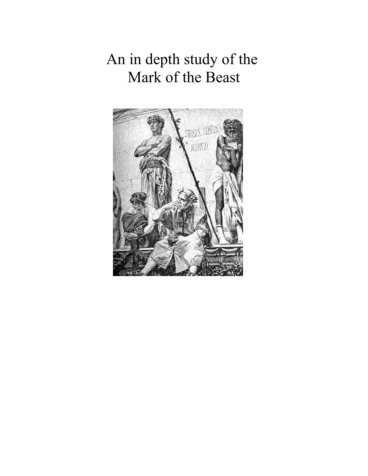An in depth study of the Mark of the Beast

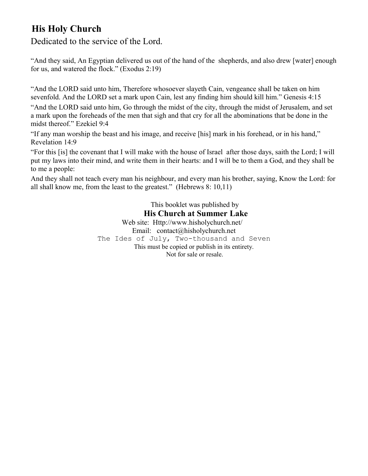# **His Holy Church**

Dedicated to the service of the Lord.

"And they said, An Egyptian delivered us out of the hand of the shepherds, and also drew [water] enough for us, and watered the flock." (Exodus 2:19)

"And the LORD said unto him, Therefore whosoever slayeth Cain, vengeance shall be taken on him sevenfold. And the LORD set a mark upon Cain, lest any finding him should kill him." Genesis 4:15

"And the LORD said unto him, Go through the midst of the city, through the midst of Jerusalem, and set a mark upon the foreheads of the men that sigh and that cry for all the abominations that be done in the midst thereof." Ezekiel 9:4

"If any man worship the beast and his image, and receive [his] mark in his forehead, or in his hand," Revelation 14:9

"For this [is] the covenant that I will make with the house of Israel after those days, saith the Lord; I will put my laws into their mind, and write them in their hearts: and I will be to them a God, and they shall be to me a people:

And they shall not teach every man his neighbour, and every man his brother, saying, Know the Lord: for all shall know me, from the least to the greatest." (Hebrews 8: 10,11)

> This booklet was published by **His Church at Summer Lake** Web site: Http://www.hisholychurch.net/ Email: contact@hisholychurch.net The Ides of July, Two-thousand and Seven This must be copied or publish in its entirety. Not for sale or resale.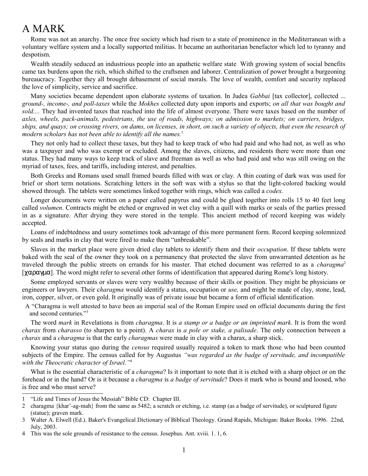# A MARK

Rome was not an anarchy. The once free society which had risen to a state of prominence in the Mediterranean with a voluntary welfare system and a locally supported militias. It became an authoritarian benefactor which led to tyranny and despotism.

Wealth steadily seduced an industrious people into an apathetic welfare state With growing system of social benefits came tax burdens upon the rich, which shifted to the craftsmen and laborer. Centralization of power brought a burgeoning bureaucracy. Together they all brought debasement of social morals. The love of wealth, comfort and security replaced the love of simplicity, service and sacrifice.

Many societies became dependent upon elaborate systems of taxation. In Judea *Gabbai* [tax collector], collected ... *ground-, income-, and poll-taxes* while the *Mokhes* collected duty upon imports and exports; *on all that was bought and sold....* They had invented taxes that reached into the life of almost everyone. There were taxes based on the number of *axles, wheels, pack-animals, pedestrians, the use of roads, highways; on admission to markets; on carriers, bridges, ships, and quays; on crossing rivers, on dams, on licenses, in short, on such a variety of objects, that even the research of* modern scholars has not been able to identify all the names.<sup>[1](#page-2-0)</sup>

They not only had to collect these taxes, but they had to keep track of who had paid and who had not, as well as who was a taxpayer and who was exempt or excluded. Among the slaves, citizens, and residents there were more than one status. They had many ways to keep track of slave and freeman as well as who had paid and who was still owing on the myriad of taxes, fees, and tariffs, including interest, and penalties.

Both Greeks and Romans used small framed boards filled with wax or clay. A thin coating of dark wax was used for brief or short term notations. Scratching letters in the soft wax with a stylus so that the light-colored backing would showed through. The tablets were sometimes linked together with rings, which was called a *codex.*

Longer documents were written on a paper called papyrus and could be glued together into rolls 15 to 40 feet long called *volumen*. Contracts might be etched or engraved in wet clay with a quill with marks or seals of the parties pressed in as a signature. After drying they were stored in the temple. This ancient method of record keeping was widely accepted.

Loans of indebtedness and usury sometimes took advantage of this more permanent form. Record keeping solemnized by seals and marks in clay that were fired to make them "unbreakable".

Slaves in the market place were given dried clay tablets to identify them and their *occupation*. If these tablets were baked with the seal of the owner they took on a permanency that protected the slave from unwarranted detention as he traveled through the public streets on errands for his master. That etched document was referred to as a *charagma*<sup>[2](#page-2-1)</sup> [χαραγµα]. The word might refer to several other forms of identification that appeared during Rome's long history.

Some employed servants or slaves were very wealthy because of their skills or position. They might be physicians or engineers or lawyers. Their c*haragma* would identify a status, occupation or *use,* and might be made of clay, stone, lead, iron, copper, silver, or even gold. It originally was of private issue but became a form of official identification.

 A "Charagma is well attested to have been an imperial seal of the Roman Empire used on official documents during the first and second centuries."[3](#page-2-2)

The word *mark* in Revelations is from *charagma*. It is *a stamp or a badge or an imprinted mark*. It is from the word *charax* from *charasso* (to sharpen to a point). A *charax* is *a pole or stake, a palisade*. The only connection between a *charax* and a *charagma* is that the early *charagmas* were made in clay with a charax, a sharp stick.

Knowing your status quo during the *census* required usually required a token to mark those who had been counted subjects of the Empire. The census called for by Augustus *"was regarded as the badge of servitude, and incompatible with the Theocratic character of Israel."*[4](#page-2-3)

What is the essential characteristic of a *charagma*? Is it important to note that it is etched with a sharp object or on the forehead or in the hand? Or is it because a *charagma* is *a badge of servitude*? Does it mark who is bound and loosed, who is free and who must serve?

<span id="page-2-0"></span><sup>1</sup> "Life and Times of Jesus the Messiah" Bible CD: Chapter III.

<span id="page-2-1"></span><sup>2</sup> charagma {khar'-ag-mah} from the same as 5482; a scratch or etching, i.e. stamp (as a badge of servitude), or sculptured figure (statue); graven mark.

<span id="page-2-2"></span><sup>3</sup> Walter A. Elwell (Ed.). Baker's Evangelical Dictionary of Biblical Theology. Grand Rapids, Michigan: Baker Books. 1996. 22nd, July, 2003.

<span id="page-2-3"></span><sup>4</sup> This was the sole grounds of resistance to the census. Josephus. Ant. xviii. 1. 1, 6.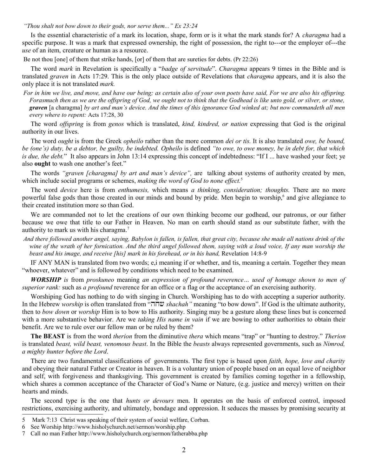*"Thou shalt not bow down to their gods, nor serve them..." Ex 23:24* 

Is the essential characteristic of a mark its location, shape, form or is it what the mark stands for? A *charagma* had a specific purpose. It was a mark that expressed ownership, the right of possession, the right to---or the employer of---the *use* of an item, creature or human as a resource.

Be not thou [one] of them that strike hands, [or] of them that are sureties for debts. (Pr 22:26)

The word *mark* in Revelation is specifically a "*badge of servitude*". *Charagma* appears 9 times in the Bible and is translated *graven* in Acts 17:29. This is the only place outside of Revelations that *charagma* appears, and it is also the only place it is not translated *mark.*

*For in him we live, and move, and have our being; as certain also of your own poets have said, For we are also his offspring. Forasmuch then as we are the offspring of God, we ought not to think that the Godhead is like unto gold, or silver, or stone, graven* [a charagma] *by art and man's device. And the times of this ignorance God winked at; but now commandeth all men every where to repent:* Acts 17:28, 30

The word *offspring* is from *genos* which is translated, *kind, kindred, or nation* expressing that God is the original authority in our lives.

The word *ought* is from the Greek *opheilo* rather than the more common *dei or tis.* It is also translated *owe, be bound, be (one's) duty, be a debtor, be guilty, be indebted. Opheilo* is defined *"to owe, to owe money, be in debt for, that which is due, the debt.*" It also appears in John 13:14 expressing this concept of indebtedness: "If I ... have washed your feet; ye also **ought** to wash one another's feet."

The words *"graven [charagma] by art and man's device",* are talking about systems of authority created by men, which include social programs or schemes, *making the word of God to none effect.*[5](#page-3-0)

The word *device* here is from *enthumesis,* which means *a thinking, consideration; thoughts.* There are no more powerful false gods than those created in our minds and bound by pride. Men begin to worship,<sup>[6](#page-3-1)</sup> and give allegiance to their created institution more so than God.

We are commanded not to let the creations of our own thinking become our godhead, our patronus, or our father because we owe that title to our Father in Heaven. No man on earth should stand as our substitute father, with the authority to mark us with his charagma.<sup>[7](#page-3-2)</sup>

*And there followed another angel, saying, Babylon is fallen, is fallen, that great city, because she made all nations drink of the wine of the wrath of her fornication. And the third angel followed them, saying with a loud voice, If any man worship the beast and his image, and receive [his] mark in his forehead, or in his hand,* Revelation 14:8-9

IF ANY MAN is translated from two words; e,i meaning if or whether, and tis, meaning a certain. Together they mean "whoever, whatever" and is followed by conditions which need to be examined.

*WORSHIP is* from *proskuneo* meaning *an expression of profound reverence… used of homage shown to men of superior rank:* such as *a profound* reverence for an office or a flag or the acceptance of an exercising authority.

Worshiping God has nothing to do with singing in Church. Worshiping has to do with accepting a superior authority. In the Hebrew *worship* is often translated from "הח"ש *shachah*" meaning "to bow down". If God is the ultimate authority, then to *bow down* or *worship* Him is to bow to His authority. Singing may be a gesture along these lines but is concerned with a more substantive behavior. Are we *taking His name in vain* if we are bowing to other authorities to obtain their benefit. Are we to rule over our fellow man or be ruled by them?

**The BEAST** is from the word *therion* from the diminutive *thera* which means "trap" or "hunting to destroy." *Therion* is translated *beast, wild beast, venomous beast*. In the Bible the *beasts* always represented governments, such as *Nimrod, a mighty hunter before the Lord*.

There are two fundamental classifications of governments. The first type is based upon *faith, hope, love and charity* and obeying their natural Father or Creator in heaven. It is a voluntary union of people based on an equal love of neighbor and self, with forgiveness and thanksgiving. This government is created by families coming together in a fellowship, which shares a common acceptance of the Character of God's Name or Nature, (e.g. justice and mercy) written on their hearts and minds.

The second type is the one that *hunts or devours* men. It operates on the basis of enforced control, imposed restrictions, exercising authority, and ultimately, bondage and oppression. It seduces the masses by promising security at

<span id="page-3-0"></span><sup>5</sup> Mark 7:13 Christ was speaking of their system of social welfare, Corban.

<span id="page-3-1"></span><sup>6</sup> See Worship http://www.hisholychurch.net/sermon/worship.php

<span id="page-3-2"></span><sup>7</sup> Call no man Father http://www.hisholychurch.org/sermon/fatherabba.php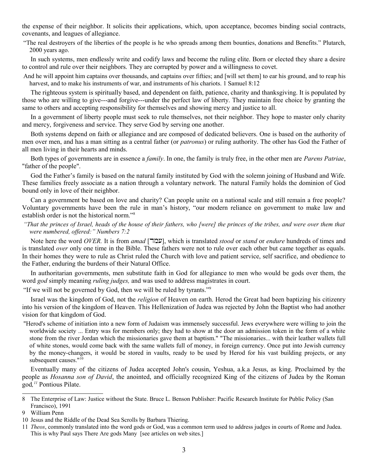the expense of their neighbor. It solicits their applications, which, upon acceptance, becomes binding social contracts, covenants, and leagues of allegiance.

"The real destroyers of the liberties of the people is he who spreads among them bounties, donations and Benefits." Plutarch, 2000 years ago.

In such systems, men endlessly write and codify laws and become the ruling elite. Born or elected they share a desire to control and rule over their neighbors. They are corrupted by power and a willingness to covet.

And he will appoint him captains over thousands, and captains over fifties; and [will set them] to ear his ground, and to reap his harvest, and to make his instruments of war, and instruments of his chariots. 1 Samuel 8:12

The righteous system is spiritually based, and dependent on faith, patience, charity and thanksgiving. It is populated by those who are willing to give---and forgive---under the perfect law of liberty. They maintain free choice by granting the same to others and accepting responsibility for themselves and showing mercy and justice to all.

In a government of liberty people must seek to rule themselves, not their neighbor. They hope to master only charity and mercy, forgiveness and service. They serve God by serving one another.

Both systems depend on faith or allegiance and are composed of dedicated believers. One is based on the authority of men over men, and has a man sitting as a central father (or *patronus*) or ruling authority. The other has God the Father of all men living in their hearts and minds.

Both types of governments are in essence a *family*. In one, the family is truly free, in the other men are *Parens Patriae*, "father of the people".

God the Father's family is based on the natural family instituted by God with the solemn joining of Husband and Wife. These families freely associate as a nation through a voluntary network. The natural Family holds the dominion of God bound only in love of their neighbor.

Can a government be based on love and charity? Can people unite on a national scale and still remain a free people? Voluntary governments have been the rule in man's history, "our modern reliance on government to make law and establish order is not the historical norm."[8](#page-4-0)

*"That the princes of Israel, heads of the house of their fathers, who [were] the princes of the tribes, and were over them that were numbered, offered:" Numbers 7:2*

Note here the word *OVER*. It is from *amad* [שמה], which is translated *stood* or *stand* or *endure* hundreds of times and is translated *over* only one time in the Bible. These fathers were not to rule over each other but came together as equals. In their homes they were to rule as Christ ruled the Church with love and patient service, self sacrifice, and obedience to the Father, enduring the burdens of their Natural Office.

In authoritarian governments, men substitute faith in God for allegiance to men who would be gods over them, the word *god* simply meaning *ruling judges,* and was used to address magistrates in court.

"If we will not be governed by God, then we will be ruled by tyrants."[9](#page-4-1)

Israel was the kingdom of God, not the *religion* of Heaven on earth. Herod the Great had been baptizing his citizenry into his version of the kingdom of Heaven. This Hellenization of Judea was rejected by John the Baptist who had another vision for that kingdom of God.

"Herod's scheme of initiation into a new form of Judaism was immensely successful. Jews everywhere were willing to join the worldwide society ... Entry was for members only; they had to show at the door an admission token in the form of a white stone from the river Jordan which the missionaries gave them at baptism." "The missionaries... with their leather wallets full of white stones, would come back with the same wallets full of money, in foreign currency. Once put into Jewish currency by the money-changers, it would be stored in vaults, ready to be used by Herod for his vast building projects, or any subsequent causes."<sup>[10](#page-4-2)</sup>

Eventually many of the citizens of Judea accepted John's cousin, Yeshua, a.k.a Jesus, as king. Proclaimed by the people as *Hosanna son of David*, the anointed, and officially recognized King of the citizens of Judea by the Roman god*, [11](#page-4-3)* Pontious Pilate.

<span id="page-4-0"></span><sup>8</sup> The Enterprise of Law: Justice without the State. Bruce L. Benson Publisher: Pacific Research Institute for Public Policy (San Francisco), 1991

<span id="page-4-1"></span><sup>9</sup> William Penn

<span id="page-4-2"></span><sup>10</sup> Jesus and the Riddle of the Dead Sea Scrolls by Barbara Thiering.

<span id="page-4-3"></span><sup>11</sup> *Theos*, commonly translated into the word gods or God, was a common term used to address judges in courts of Rome and Judea. This is why Paul says There Are gods Many [see articles on web sites.]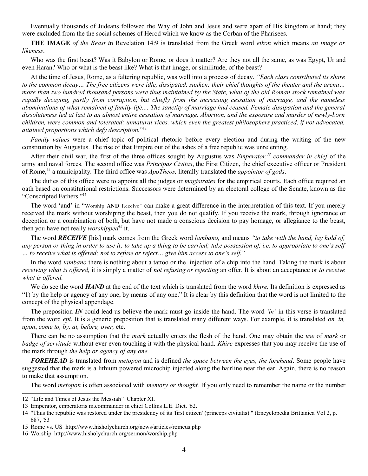Eventually thousands of Judeans followed the Way of John and Jesus and were apart of His kingdom at hand; they were excluded from the the social schemes of Herod which we know as the Corban of the Pharisees.

**THE IMAGE** *of the Beast i*n Revelation 14:9 is translated from the Greek word *eikon* which means *an image or likeness*.

Who was the first beast? Was it Babylon or Rome, or does it matter? Are they not all the same, as was Egypt, Ur and even Haran? Who or what is the beast like? What is that image, or similitude, of the beast?

At the time of Jesus, Rome, as a faltering republic, was well into a process of decay. *"Each class contributed its share to the common decay… The free citizens were idle, dissipated, sunken; their chief thoughts of the theater and the arena… more than two hundred thousand persons were thus maintained by the State, what of the old Roman stock remained was rapidly decaying, partly from corruption, but chiefly from the increasing cessation of marriage, and the nameless abominations of what remained of family-life.... The sanctity of marriage had ceased. Female dissipation and the general dissoluteness led at last to an almost entire cessation of marriage. Abortion, and the exposure and murder of newly-born children, were common and tolerated; unnatural vices, which even the greatest philosophers practiced, if not advocated, attained proportions which defy description.*" [12](#page-5-0)

*Family values* were a chief topic of political rhetoric before every election and during the writing of the new constitution by Augustus. The rise of that Empire out of the ashes of a free republic was unrelenting.

After their civil war, the first of the three offices sought by Augustus was *Emperator,[13](#page-5-1) commander in chief* of the army and naval forces. The second office was *Principas Civitas*, the First Citizen, the chief executive officer or President of Rome,[14](#page-5-2) a municipality. The third office was *ApoTheos,* literally translated the *appointor of gods*.

The duties of this office were to appoint all the judges or *magistrates* for the empirical courts. Each office required an oath based on constitutional restrictions. Successors were determined by an electoral college of the Senate, known as the "Conscripted Fathers."[15](#page-5-3)

The word 'and' in "Worship **AND** Receive" can make a great difference in the interpretation of this text. If you merely received the mark without worshiping the beast, then you do not qualify. If you receive the mark, through ignorance or deception or a combination of both, but have not made a conscious decision to pay homage, or allegiance to the beast, then you have not really *worshipped[16](#page-5-4)* it.

The word *RECEIVE* [his] mark comes from the Greek word *lambano,* and means *"to take with the hand, lay hold of, any person or thing in order to use it; to take up a thing to be carried; take possession of, i.e. to appropriate to one's self … to receive what is offered; not to refuse or reject… give him access to one's self.*"

In the word *lambano* there is nothing about a tattoo or the injection of a chip into the hand. Taking the mark is about *receiving what is offered,* it is simply a matter of *not refusing or rejecting* an offer. It is about an acceptance or *to receive what is offered.*

We do see the word *HAND* at the end of the text which is translated from the word *khire.* Its definition is expressed as "1) by the help or agency of any one, by means of any one." It is clear by this definition that the word is not limited to the concept of the physical appendage.

The preposition *IN* could lead us believe the mark must go inside the hand. The word *'in'* in this verse is translated from the word *epi*. It is a generic preposition that is translated many different ways. For example, it is translated *on, in, upon*, *come to, by, at, before, over,* etc.

There can be no assumption that the *mark* actually enters the flesh of the hand. One may obtain the *use* of *mark* or *badge of servitude* without ever even touching it with the physical hand. *Khire* expresses that you may receive the use of the mark through *the help or agency of any one.*

*FOREHEAD* is translated from *metopon* and is defined *the space between the eyes, the forehead*. Some people have suggested that the mark is a lithium powered microchip injected along the hairline near the ear. Again, there is no reason to make that assumption.

The word *metopon* is often associated with *memory or thought.* If you only need to remember the name or the number

<span id="page-5-0"></span><sup>12</sup> "Life and Times of Jesus the Messiah" Chapter XI.

<span id="page-5-1"></span><sup>13</sup> Emperator, emperatoris m.commander in chief Collins L.E. Dict. '62.

<span id="page-5-2"></span><sup>14</sup> "Thus the republic was restored under the presidency of its 'first citizen' (princeps civitatis)." (Encyclopedia Brittanica Vol 2, p. 687, '53

<span id="page-5-3"></span><sup>15</sup> Rome vs. US http://www.hisholychurch.org/news/articles/romeus.php

<span id="page-5-4"></span><sup>16</sup> Worship http://www.hisholychurch.org/sermon/worship.php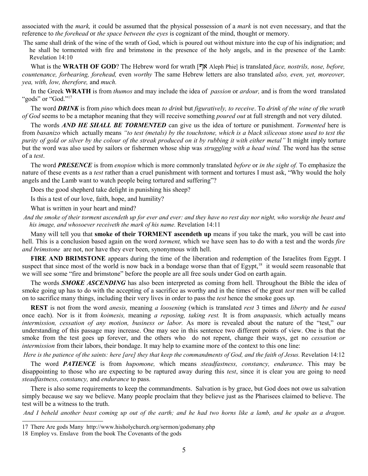associated with the *mark,* it could be assumed that the physical possession of a *mark* is not even necessary, and that the reference to *the forehead* or *the space between the eyes* is cognizant of the mind, thought or memory.

The same shall drink of the wine of the wrath of God, which is poured out without mixture into the cup of his indignation; and he shall be tormented with fire and brimstone in the presence of the holy angels, and in the presence of the Lamb: Revelation 14:10

What is the **WRATH OF GOD**? The Hebrew word for wrath  $[\nabla \times \mathbf{A}]$  Aleph Phie] is translated *face, nostrils, nose, before, countenance, forbearing, forehead,* even *worthy* The same Hebrew letters are also translated *also, even, yet, moreover, yea, with, low, therefore,* and *much.*

In the Greek **WRATH** is from *thumos* and may include the idea of *passion* or *ardour,* and is from the word translated "gods" or "God."<sup>[17](#page-6-0)</sup>

The word *DRINK* is from *pino* which does mean *to drink* but *figuratively, to receive*. To *drink of the wine of the wrath of God* seems to be a metaphor meaning that they will receive something *poured out* at full strength and not very diluted.

The words *AND HE SHALL BE TORMENTED* can give us the idea of torture or punishment. *Tormented* here is from *basanizo* which actually means *"to test (metals) by the touchstone, which is a black siliceous stone used to test the purity of gold or silver by the colour of the streak produced on it by rubbing it with either metal"* It might imply torture but the word was also used by sailors or fishermen whose ship was *struggling with a head wind.* The word has the sense of a *test*.

The word *PRESENCE* is from *enopion* which is more commonly translated *before* or *in the sight of.* To emphasize the nature of these events as a *test* rather than a cruel punishment with torment and tortures I must ask, "Why would the holy angels and the Lamb want to watch people being tortured and suffering"?

Does the good shepherd take delight in punishing his sheep?

Is this a test of our love, faith, hope, and humility?

What is written in your heart and mind?

*And the smoke of their torment ascendeth up for ever and ever: and they have no rest day nor night, who worship the beast and his image, and whosoever receiveth the mark of his name.* Revelation 14:11

Many will tell you that **smoke of their TORMENT ascendeth up** means if you take the mark, you will be cast into hell. This is a conclusion based again on the word *torment,* which we have seen has to do with a test and the words *fire and brimstone* are not, nor have they ever been, synonymous with hell.

FIRE AND BRIMSTONE appears during the time of the liberation and redemption of the Israelites from Egypt. I suspect that since most of the world is now back in a bondage worse than that of  $Egypt$ ,<sup>[18](#page-6-1)</sup> it would seem reasonable that we will see some "fire and brimstone" before the people are all free souls under God on earth again.

The words *SMOKE ASCENDING* has also been interpreted as coming from hell. Throughout the Bible the idea of smoke going up has to do with the accepting of a sacrifice as worthy and in the times of the great *test* men will be called on to sacrifice many things, including their very lives in order to pass the *test* hence the smoke goes up*.*

**REST** is not from the word *anesis,* meaning *a loosening* (which is translated *rest* 3 times and *liberty* and *be eased* once each). Nor is it from *koimesis,* meaning *a reposing, taking rest.* It is from *anapausis,* which actually means *intermission, cessation of any motion, business or labor.* As more is revealed about the nature of the "test," our understanding of this passage may increase. One may see in this sentence two different points of view. One is that the smoke from the test goes up forever, and the others who do not repent, change their ways, get no *cessation or intermission* from their labors, their bondage. It may help to examine more of the context to this one line:

*Here is the patience of the saints: here [are] they that keep the commandments of God, and the faith of Jesus.* Revelation 14:12

The word *PATIENCE* is from *hupomone,* which means *steadfastness, constancy, endurance*. This may be disappointing to those who are expecting to be raptured away during this *test*, since it is clear you are going to need *steadfastness, constancy,* and *endurance* to pass.

There is also some requirements to keep the commandments. Salvation is by grace, but God does not owe us salvation simply because we say we believe. Many people proclaim that they believe just as the Pharisees claimed to believe. The test will be a witness to the truth.

*And I beheld another beast coming up out of the earth; and he had two horns like a lamb, and he spake as a dragon.*

<span id="page-6-0"></span><sup>17</sup> There Are gods Many http://www.hisholychurch.org/sermon/godsmany.php

<span id="page-6-1"></span><sup>18</sup> Employ vs. Enslave from the book The Covenants of the gods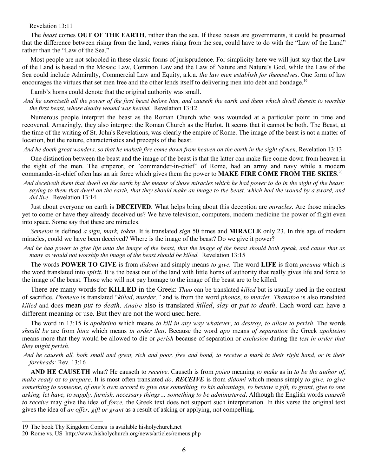#### Revelation 13:11

The *beast* comes **OUT OF THE EARTH**, rather than the sea. If these beasts are governments, it could be presumed that the difference between rising from the land, verses rising from the sea, could have to do with the "Law of the Land" rather than the "Law of the Sea."

Most people are not schooled in these classic forms of jurisprudence. For simplicity here we will just say that the Law of the Land is based in the Mosaic Law, Common Law and the Law of Nature and Nature's God, while the Law of the Sea could include Admiralty, Commercial Law and Equity, a.k.a. *the law men establish for themselves*. One form of law encourages the virtues that set men free and the other lends itself to delivering men into debt and bondage.<sup>[19](#page-7-0)</sup>

Lamb's horns could denote that the original authority was small.

*And he exerciseth all the power of the first beast before him, and causeth the earth and them which dwell therein to worship the first beast, whose deadly wound was healed.* Revelation 13:12

Numerous people interpret the beast as the Roman Church who was wounded at a particular point in time and recovered. Amazingly, they also interpret the Roman Church as the Harlot. It seems that it cannot be both. The Beast, at the time of the writing of St. John's Revelations, was clearly the empire of Rome. The image of the beast is not a matter of location, but the nature, characteristics and precepts of the beast.

And he doeth great wonders, so that he maketh fire come down from heaven on the earth in the sight of men, Revelation 13:13

One distinction between the beast and the image of the beast is that the latter can make fire come down from heaven in the sight of the men. The emperor, or "commander-in-chief" of Rome, had an army and navy while a modern commander-in-chief often has an air force which gives them the power to **MAKE FIRE COME FROM THE SKIES**. [20](#page-7-1)

*And deceiveth them that dwell on the earth by the means of those miracles which he had power to do in the sight of the beast; saying to them that dwell on the earth, that they should make an image to the beast, which had the wound by a sword, and did live*.Revelation 13:14

Just about everyone on earth is **DECEIVED**. What helps bring about this deception are *miracles*. Are those miracles yet to come or have they already deceived us? We have television, computers, modern medicine the power of flight even into space. Some say that these are miracles.

*Semeion* is defined *a sign, mark, token*. It is translated *sign* 50 times and **MIRACLE** only 23. In this age of modern miracles, could we have been deceived? Where is the image of the beast? Do we give it power?

*And he had power to give life unto the image of the beast, that the image of the beast should both speak, and cause that as many as would not worship the image of the beast should be killed.* Revelation 13:15

The words **POWER TO GIVE** is from *didomi* and simply means *to give.* The word **LIFE** is from *pneuma* which is the word translated into *spirit.* It is the beast out of the land with little horns of authority that really gives life and force to the image of the beast. Those who will not pay homage to the image of the beast are to be killed.

There are many words for **KILLED** in the Greek: *Thuo* can be translated *killed* but is usually used in the context of sacrifice. *Phoneuo* is translated "*killed*, *murder,"* and is from the word *phonos*, *to murder*. *Thanatoo* is also translated *killed* and does mean *put to death*. *Anaire* also is translated *killed*, *slay* or *put to death*. Each word can have a different meaning or use. But they are not the word used here.

The word in 13:15 is *apokteino* which means *to kill in any way whatever*, *to destroy, to allow to perish*. The words *should be* are from *hina* which means *in order that*. Because the word *apo* means *of separation* the Greek *apokteino* means more that they would be allowed to die or *perish* because of separation or *exclusion* during the *test in order that they might perish*.

*And he causeth all, both small and great, rich and poor, free and bond, to receive a mark in their right hand, or in their foreheads:* Rev. 13:16

**AND HE CAUSETH** what? He causeth to *receive*. Causeth is from *poieo* meaning *to make* as in *to be the author of*, *make ready* or *to prepare*. It is most often translated *do*. *RECEIVE* is from *didomi* which means simply *to give, to give something to someone, of one's own accord to give one something, to his advantage, to bestow a gift, to grant, give to one asking, let have, to supply, furnish, necessary things… something to be administered***.** Although the English words *causeth to receive* may give the idea of *force,* the Greek text does not support such interpretation. In this verse the original text gives the idea of *an offer, gift or grant* as a result of asking or applying, not compelling.

<span id="page-7-0"></span><sup>19</sup> The book Thy Kingdom Comes is available hisholychurch.net

<span id="page-7-1"></span><sup>20</sup> Rome vs. US http://www.hisholychurch.org/news/articles/romeus.php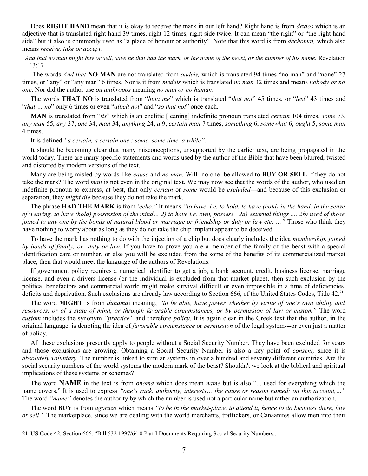Does **RIGHT HAND** mean that it is okay to receive the mark in our left hand? Right hand is from *dexios* which is an adjective that is translated right hand 39 times, right 12 times, right side twice. It can mean "the right" or "the right hand side" but it also is commonly used as "a place of honour or authority". Note that this word is from *dechomai,* which also means *receive, take or accept.*

 *And that no man might buy or sell, save he that had the mark, or the name of the beast, or the number of his name.* Revelation 13:17

 The words *And that* **NO MAN** are not translated from *oudeis,* which is translated 94 times "no man" and "none" 27 times, or "any" or "any man" 6 times. Nor is it from *medeis* which is translated *no man* 32 times and means *nobody or no one*. Nor did the author use *ou anthropos* meaning *no man or no human*.

The words **THAT NO** is translated from "*hina me*" which is translated "*that not*" 45 times, or "*lest*" 43 times and "*that … no*" only 6 times or even "*albeit not*" and "*so that not*" once each.

**MAN** is translated from "*tis*" which is an enclitic [leaning] indefinite pronoun translated *certain* 104 times, *some* 73, *any man* 55, *any* 37, *one* 34, *man* 34, *anything* 24, *a* 9, *certain man* 7 times, *something* 6, *somewhat* 6, *ought* 5, *some man* 4 times.

It is defined *"a certain, a certain one ; some, some time, a while".*

It should be becoming clear that many misconceptions, unsupported by the earlier text, are being propagated in the world today. There are many specific statements and words used by the author of the Bible that have been blurred, twisted and distorted by modern versions of the text.

Many are being misled by words like *cause* and *no man.* Will no one be allowed to **BUY OR SELL** if they do not take the mark? The word *man* is not even in the original text. We may now see that the words of the author, who used an indefinite pronoun to express, at best, that only *certain* or *some* would be *excluded*---and because of this exclusion or separation, they *might die* because they do not take the mark.

The phrase **HAD THE MARK** is from*"echo."* It means *"to have, i.e. to hold. to have (hold) in the hand, in the sense of wearing, to have (hold) possession of the mind… 2) to have i.e. own, possess 2a) external things .... 2b) used of those joined to any one by the bonds of natural blood or marriage or friendship or duty or law etc. …"* Those who think they have nothing to worry about as long as they do not take the chip implant appear to be deceived.

To have the mark has nothing to do with the injection of a chip but does clearly includes the idea *membership, joined by bonds of family, or duty or law.* If you have to prove you are a member of the family of the beast with a special identification card or number, or else you will be excluded from the some of the benefits of its commercialized market place, then that would meet the language of the authors of Revelations.

If government policy requires a numerical identifier to get a job, a bank account, credit, business license, marriage license, and even a drivers license (or the individual is excluded from that market place), then such exclusion by the political benefactors and commercial world might make survival difficult or even impossible in a time of deficiencies, deficits and deprivation. Such exclusions are already law according to Section 666, of the United States Codes, Title  $42.^{21}$  $42.^{21}$  $42.^{21}$ 

The word **MIGHT** is from *dunama*i meaning, *"to be able, have power whether by virtue of one's own ability and resources, or of a state of mind, or through favorable circumstances, or by permission of law or custom"* The word *custom* includes the synonym *"practice"* and therefore *policy*. It is again clear in the Greek text that the author, in the original language, is denoting the idea of *favorable circumstance* or *permission* of the legal system---or even just a matter of policy.

All these exclusions presently apply to people without a Social Security Number. They have been excluded for years and those exclusions are growing. Obtaining a Social Security Number is also a key point of *consent,* since it is *absolutely voluntary*. The number is linked to similar systems in over a hundred and seventy different countries. Are the social security numbers of the world systems the modern mark of the beast? Shouldn't we look at the biblical and spiritual implications of these systems or schemes?

The word **NAME** in the text is from *onoma* which does mean *name* but is also "... used for everything which the name covers." It is used to express *"one's rank, authority, interests… the cause or reason named: on this account,…"* The word *"name"* denotes the authority by which the number is used not a particular name but rather an authorization.

The word **BUY** is from *agorazo* which means *"to be in the market-place, to attend it, hence to do business there, buy or sell".* The marketplace, since we are dealing with the world merchants, traffickers, or Canaanites allow men into their

<span id="page-8-0"></span><sup>21</sup> US Code 42, Section 666. "Bill 532 1997/6/10 Part I Documents Requiring Social Security Numbers...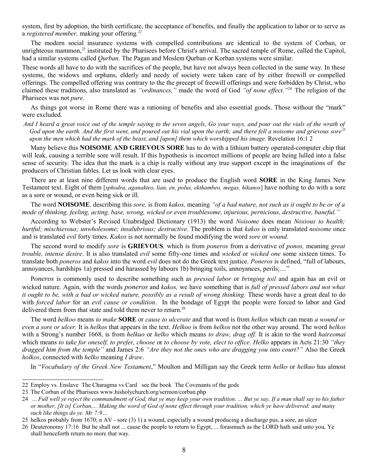system, first by adoption, the birth certificate, the acceptance of benefits, and finally the application to labor or to serve as a *registered member,* making your offering*. [22](#page-9-0)*

The modern social insurance systems with compelled contributions are identical to the system of Corban, or unrighteous mammon,<sup>[23](#page-9-1)</sup> instituted by the Pharisees before Christ's arrival. The sacred temple of Rome, called the Capitol, had a similar systems called *Qurban.* The Pagan and Moslem Qurban or Korban systems were similar.

These words all have to do with the sacrifices of the people, but have not always been collected in the same way. In these systems, the widows and orphans, elderly and needy of society were taken care of by either freewill or compelled offerings. The compelled offering was contrary to the the precept of freewill offerings and were forbidden by Christ, who claimed these traditions, also translated as *"ordinances,"* made the word of God *"of none effect."*[24](#page-9-2) The religion of the Pharisees was not *pure*.

As things got worse in Rome there was a rationing of benefits and also essential goods. Those without the "mark" were excluded.

*And I heard a great voice out of the temple saying to the seven angels, Go your ways, and pour out the vials of the wrath of* God upon the earth. And the first went, and poured out his vial upon the earth; and there fell a noisome and grievous sore<sup>[25](#page-9-3)</sup> *upon the men which had the mark of the beast, and [upon] them which worshipped his image.* Revelation 16:1 2

Many believe this **NOISOME AND GRIEVOUS SORE** has to do with a lithium battery operated-computer chip that will leak, causing a terrible sore will result. If this hypothesis is incorrect millions of people are being lulled into a false sense of security. The idea that the mark is a chip is really without any true support except in the imaginations of the producers of Christian fables. Let us look with clear eyes.

There are at least nine different words that are used to produce the English word **SORE** in the King James New Testament text. Eight of them [*sphodra, aganakteo, lian, en, polus, ekthambeo, megas, hikanos*] have nothing to do with a sore as a sore or wound, or even being sick or ill.

The word **NOISOME***,* describing this *sore,* is from *kakos,* meaning *"of a bad nature, not such as it ought to be or of a mode of thinking, feeling, acting, base, wrong, wicked or even troublesome, injurious, pernicious, destructive, baneful."* 

According to Webster's Revised Unabridged Dictionary (1913) the word *Noisome* does mean *Noxious to health; hurtful; mischievous; unwholesome; insalubrious; destructive*. The problem is that *kakos* is only translated *noisome* once and is translated *evil* forty times. *Kakos* is not normally be found modifying the word *sore* or *wound*.

The second word to modify *sore* is **GRIEVOUS***,* which is from *poneros* from a derivative of *ponos,* meaning *great trouble, intense desire*. It is also translated *evil* some fifty-one times and *wicked* or *wicked one* some sixteen times. To translate both *poneros* and *kakos* into the word *evil* does not do the Greek text justice. *Poneros* is defined, "full of labours, annoyances, hardships 1a) pressed and harassed by labours 1b) bringing toils, annoyances, perils;…"

P*oneros* is commonly used to describe something such as *pressed labor* or *bringing toil* and again has an evil or wicked nature. Again, with the words *poneros* and *kakos,* we have something that is *full of pressed labors and not what it ought to be, with a bad or wicked nature, possibly as a result of wrong thinking.* These words have a great deal to do with *forced labor* for an *evil cause or condition*. In the bondage of Egypt the people were forced to labor and God delivered them from that state and told them never to return.<sup>[26](#page-9-4)</sup>

The word *helkoo* means *to make* **SORE** or *cause to ulcerate* and that word is from *helkos* which can mean *a wound or even a sore or ulcer.* It is *helkos* that appears in the text. *Helkoo* is from *helkos* not the other way around. The word *helkos* with a Strong's number 1668, is from *helkuo* or *helko* which means *to draw, drag off.* It is akin to the word *haireomai* which means *to take for oneself, to prefer, choose* or *to choose by vote, elect to office*. *Helko* appears in Acts 21:30 *"they dragged him from the temple"* and James 2:6 *"Are they not the ones who are dragging you into court?"* Also the Greek *holkos*, connected with *helko* meaning *I draw*.

In "*Vocabulary of the Greek New Testament*," Moulton and Milligan say the Greek term *helko* or *helkuo* has almost

<span id="page-9-0"></span><sup>22</sup> Employ vs. Enslave The Charagma vs Card see the book The Covenants of the gods

<span id="page-9-1"></span><sup>23</sup> The Corban of the Pharisees www.hisholychurch.org/sermon/corban.php

<span id="page-9-2"></span><sup>24 ...</sup> *Full well ye reject the commandment of God, that ye may keep your own tradition. ... But ye say, If a man shall say to his father or mother, [It is] Corban,... Making the word of God of none effect through your tradition, which ye have delivered: and many such like things do ye. Mr 7:9…*

<span id="page-9-3"></span><sup>25</sup> helkos probably from 1670; n AV - sore (3) 1) a wound, especially a wound producing a discharge pus, a sore, an ulcer

<span id="page-9-4"></span><sup>26</sup> Deuteronomy 17:16 But he shall not ... cause the people to return to Egypt, ... forasmuch as the LORD hath said unto you, Ye shall henceforth return no more that way.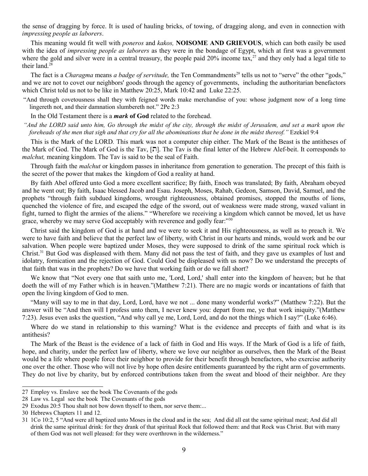the sense of dragging by force. It is used of hauling bricks, of towing, of dragging along, and even in connection with *impressing people as laborers*.

This meaning would fit well with *poneros* and *kakos,* **NOISOME AND GRIEVOUS**, which can both easily be used with the idea of *impressing people as laborers* as they were in the bondage of Egypt, which at first was a government where the gold and silver were in a central treasury, the people paid  $20\%$  income tax,  $27$  and they only had a legal title to their land. $^{28}$  $^{28}$  $^{28}$ 

The fact is a *Charagma* means *a badge of servitude*, the Ten Commandments<sup>[29](#page-10-2)</sup> tells us not to "serve" the other "gods," and we are not to covet our neighbors' goods through the agency of governments, including the authoritarian benefactors which Christ told us not to be like in Matthew 20:25, Mark 10:42 and Luke 22:25.

"And through covetousness shall they with feigned words make merchandise of you: whose judgment now of a long time lingereth not, and their damnation slumbereth not." 2Pe 2:3

In the Old Testament there is a *mark* **of God** related to the forehead.

*"And the LORD said unto him, Go through the midst of the city, through the midst of Jerusalem, and set a mark upon the foreheads of the men that sigh and that cry for all the abominations that be done in the midst thereof."* Ezekiel 9:4

This is the Mark of the LORD*.* This mark was not a computer chip either. The Mark of the Beast is the antitheses of the Mark of God. The Mark of God is the Tav,  $[\nabla]$ . The Tav is the final letter of the Hebrew Alef-beit. It corresponds to *malchut,* meaning kingdom. The Tav is said to be the seal of Faith.

Through faith the *malchut* or kingdom passes in inheritance from generation to generation. The precept of this faith is the secret of the power that makes the kingdom of God a reality at hand.

By faith Abel offered unto God a more excellent sacrifice; By faith, Enoch was translated; By faith, Abraham obeyed and he went out; By faith, Isaac blessed Jacob and Esau. Joseph, Moses, Rahab, Gedeon, Samson, David, Samuel, and the prophets "through faith subdued kingdoms, wrought righteousness, obtained promises, stopped the mouths of lions, quenched the violence of fire, and escaped the edge of the sword, out of weakness were made strong, waxed valiant in fight, turned to flight the armies of the aliens." "Wherefore we receiving a kingdom which cannot be moved, let us have grace, whereby we may serve God acceptably with reverence and godly fear.<sup>7[30](#page-10-3)</sup>

Christ said the kingdom of God is at hand and we were to seek it and His righteousness, as well as to preach it. We were to have faith and believe that the perfect law of liberty, with Christ in our hearts and minds, would work and be our salvation. When people were baptized under Moses, they were supposed to drink of the same spiritual rock which is Christ. $31$  But God was displeased with them. Many did not pass the test of faith, and they gave us examples of lust and idolatry, fornication and the rejection of God. Could God be displeased with us now? Do we understand the precepts of that faith that was in the prophets? Do we have that working faith or do we fall short?

We know that "Not every one that saith unto me, 'Lord, Lord,' shall enter into the kingdom of heaven; but he that doeth the will of my Father which is in heaven."(Matthew 7:21). There are no magic words or incantations of faith that open the living kingdom of God to men.

"Many will say to me in that day, Lord, Lord, have we not ... done many wonderful works?" (Matthew 7:22). But the answer will be "And then will I profess unto them, I never knew you: depart from me, ye that work iniquity."(Matthew 7:23). Jesus even asks the question, "And why call ye me, Lord, Lord, and do not the things which I say?" (Luke 6:46).

Where do we stand in relationship to this warning? What is the evidence and precepts of faith and what is its antithesis?

The Mark of the Beast is the evidence of a lack of faith in God and His ways. If the Mark of God is a life of faith, hope, and charity, under the perfect law of liberty, where we love our neighbor as ourselves, then the Mark of the Beast would be a life where people force their neighbor to provide for their benefit through benefactors, who exercise authority one over the other. Those who will not live by hope often desire entitlements guaranteed by the right arm of governments. They do not live by charity, but by enforced contributions taken from the sweat and blood of their neighbor. Are they

<span id="page-10-0"></span><sup>27</sup> Employ vs. Enslave see the book The Covenants of the gods

<span id="page-10-1"></span><sup>28</sup> Law vs. Legal see the book The Covenants of the gods

<span id="page-10-2"></span><sup>29</sup> Exodus 20:5 Thou shalt not bow down thyself to them, nor serve them:...

<span id="page-10-3"></span><sup>30</sup> Hebrews Chapters 11 and 12.

<span id="page-10-4"></span><sup>31</sup> 1Co 10:2, 5 "And were all baptized unto Moses in the cloud and in the sea; And did all eat the same spiritual meat; And did all drink the same spiritual drink: for they drank of that spiritual Rock that followed them: and that Rock was Christ. But with many of them God was not well pleased: for they were overthrown in the wilderness."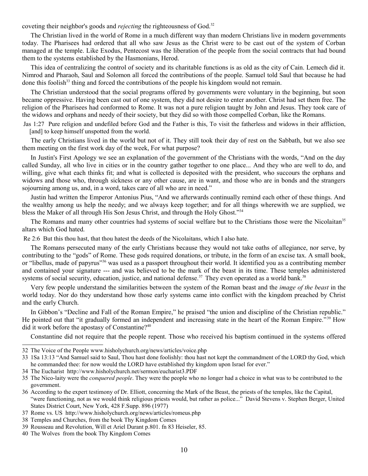coveting their neighbor's goods and *rejecting* the righteousness of God.<sup>[32](#page-11-0)</sup>

The Christian lived in the world of Rome in a much different way than modern Christians live in modern governments today. The Pharisees had ordered that all who saw Jesus as the Christ were to be cast out of the system of Corban managed at the temple. Like Exodus, Pentecost was the liberation of the people from the social contracts that had bound them to the systems established by the Hasmonians, Herod.

This idea of centralizing the control of society and its charitable functions is as old as the city of Cain. Lemech did it. Nimrod and Pharaoh, Saul and Solomon all forced the contributions of the people. Samuel told Saul that because he had done this foolish<sup>[33](#page-11-1)</sup> thing and forced the contributions of the people his kingdom would not remain.

The Christian understood that the social programs offered by governments were voluntary in the beginning, but soon became oppressive. Having been cast out of one system, they did not desire to enter another. Christ had set them free. The religion of the Pharisees had conformed to Rome. It was not a pure religion taught by John and Jesus. They took care of the widows and orphans and needy of their society, but they did so with those compelled Corban, like the Romans.

Jas 1:27 Pure religion and undefiled before God and the Father is this, To visit the fatherless and widows in their affliction, [and] to keep himself unspotted from the world.

The early Christians lived in the world but not of it. They still took their day of rest on the Sabbath, but we also see them meeting on the first work day of the week, For what purpose?

In Justin's First Apology we see an explanation of the government of the Christians with the words, "And on the day called Sunday, all who live in cities or in the country gather together to one place... And they who are well to do, and willing, give what each thinks fit; and what is collected is deposited with the president, who succours the orphans and widows and those who, through sickness or any other cause, are in want, and those who are in bonds and the strangers sojourning among us, and, in a word, takes care of all who are in need."

Justin had written the Emperor Antonius Pius, "And we afterwards continually remind each other of these things. And the wealthy among us help the needy; and we always keep together; and for all things wherewith we are supplied, we bless the Maker of all through His Son Jesus Christ, and through the Holy Ghost."[34](#page-11-2)

The Romans and many other countries had systems of social welfare but to the Christians those were the Nicolaitan<sup>[35](#page-11-3)</sup> altars which God hated.

Re 2:6 But this thou hast, that thou hatest the deeds of the Nicolaitans, which I also hate.

The Romans persecuted many of the early Christians because they would not take oaths of allegiance, nor serve, by contributing to the "gods" of Rome. These gods required donations, or tribute, in the form of an excise tax. A small book, or "libellus, made of papyrus"[36](#page-11-4) was used as a passport throughout their world. It identified you as a contributing member and contained your signature --- and was believed to be the mark of the beast in its time. These temples administered systems of social security, education, justice, and national defense.<sup>[37](#page-11-5)</sup> They even operated as a world bank.<sup>[38](#page-11-6)</sup>

Very few people understand the similarities between the system of the Roman beast and the *image of the beast* in the world today. Nor do they understand how those early systems came into conflict with the kingdom preached by Christ and the early Church.

In Gibbon's "Decline and Fall of the Roman Empire," he praised "the union and discipline of the Christian republic." He pointed out that "it gradually formed an independent and increasing state in the heart of the Roman Empire."<sup>[39](#page-11-7)</sup> How did it work before the apostasy of Constantine?<sup>[40](#page-11-8)</sup>

Constantine did not require that the people repent. Those who received his baptism continued in the systems offered

<span id="page-11-0"></span><sup>32</sup> The Voice of the People www.hisholychurch.org/news/articles/voice.php

<span id="page-11-1"></span><sup>33</sup> 1Sa 13:13 "And Samuel said to Saul, Thou hast done foolishly: thou hast not kept the commandment of the LORD thy God, which he commanded thee: for now would the LORD have established thy kingdom upon Israel for ever."

<span id="page-11-2"></span><sup>34</sup> The Eucharist http://www.hisholychurch.net/sermon/eucharist3.PDF

<span id="page-11-3"></span><sup>35</sup> The Nico-laity were the *conquered people*. They were the people who no longer had a choice in what was to be contributed to the government.

<span id="page-11-4"></span><sup>36</sup> According to the expert testimony of Dr. Elliott, concerning the Mark of the Beast, the priests of the temples, like the Capital, "were functioning, not as we would think religious priests would, but rather as police..." David Stevens v. Stephen Berger, United States District Court, New York, 428 F.Supp. 896 (1977)

<span id="page-11-5"></span><sup>37</sup> Rome vs. US http://www.hisholychurch.org/news/articles/romeus.php

<span id="page-11-6"></span><sup>38</sup> Temples and Churches, from the book Thy Kingdom Comes

<span id="page-11-7"></span><sup>39</sup> Rousseau and Revolution, Will et Ariel Durant p.801. fn 83 Heiseler, 85.

<span id="page-11-8"></span><sup>40</sup> The Wolves from the book Thy Kingdom Comes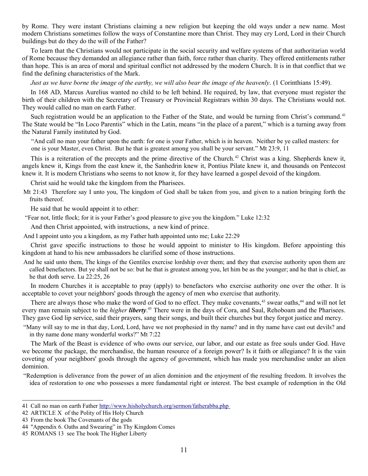by Rome. They were instant Christians claiming a new religion but keeping the old ways under a new name. Most modern Christians sometimes follow the ways of Constantine more than Christ. They may cry Lord, Lord in their Church buildings but do they do the will of the Father?

To learn that the Christians would not participate in the social security and welfare systems of that authoritarian world of Rome because they demanded an allegiance rather than faith, force rather than charity. They offered entitlements rather than hope. This is an area of moral and spiritual conflict not addressed by the modern Church. It is in that conflict that we find the defining characteristics of the Mark.

*Just as we have borne the image of the earthy, we will also bear the image of the heavenly.* (1 Corinthians 15:49).

In 168 AD, Marcus Aurelius wanted no child to be left behind. He required, by law, that everyone must register the birth of their children with the Secretary of Treasury or Provincial Registrars within 30 days. The Christians would not. They would called no man on earth Father.

Such registration would be an application to the Father of the State, and would be turning from Christ's command.<sup>[41](#page-12-0)</sup> The State would be "In Loco Parentis" which in the Latin, means "in the place of a parent," which is a turning away from the Natural Family instituted by God.

"And call no man your father upon the earth: for one is your Father, which is in heaven. Neither be ye called masters: for one is your Master, even Christ. But he that is greatest among you shall be your servant." Mt 23:9, 11

This is a reiteration of the precepts and the prime directive of the Church.<sup>[42](#page-12-1)</sup> Christ was a king. Shepherds knew it, angels knew it, Kings from the east knew it, the Sanhedrin knew it, Pontius Pilate knew it, and thousands on Pentecost knew it. It is modern Christians who seems to not know it, for they have learned a gospel devoid of the kingdom.

Christ said he would take the kingdom from the Pharisees.

Mt 21:43 Therefore say I unto you, The kingdom of God shall be taken from you, and given to a nation bringing forth the fruits thereof.

He said that he would appoint it to other:

"Fear not, little flock; for it is your Father's good pleasure to give you the kingdom." Luke 12:32

And then Christ appointed, with instructions, a new kind of prince.

And I appoint unto you a kingdom, as my Father hath appointed unto me; Luke 22:29

Christ gave specific instructions to those he would appoint to minister to His kingdom. Before appointing this kingdom at hand to his new ambassadors he clarified some of those instructions.

And he said unto them, The kings of the Gentiles exercise lordship over them; and they that exercise authority upon them are called benefactors. But ye shall not be so: but he that is greatest among you, let him be as the younger; and he that is chief, as he that doth serve. Lu 22:25, 26

In modern Churches it is acceptable to pray (apply) to benefactors who exercise authority one over the other. It is acceptable to covet your neighbors' goods through the agency of men who exercise that authority.

There are always those who make the word of God to no effect. They make covenants,<sup>[43](#page-12-2)</sup> swear oaths,<sup>[44](#page-12-3)</sup> and will not let every man remain subject to the *higher liberty*. [45](#page-12-4) There were in the days of Cora, and Saul, Rehoboam and the Pharisees. They gave God lip service, said their prayers, sang their songs, and built their churches but they forgot justice and mercy.

"Many will say to me in that day, Lord, Lord, have we not prophesied in thy name? and in thy name have cast out devils? and in thy name done many wonderful works?" Mt 7:22

The Mark of the Beast is evidence of who owns our service, our labor, and our estate as free souls under God. Have we become the package, the merchandise, the human resource of a foreign power? Is it faith or allegiance? It is the vain coveting of your neighbors' goods through the agency of government, which has made you merchandise under an alien dominion.

"Redemption is deliverance from the power of an alien dominion and the enjoyment of the resulting freedom. It involves the idea of restoration to one who possesses a more fundamental right or interest. The best example of redemption in the Old

<span id="page-12-0"></span><sup>41</sup> Call no man on earth Father<http://www.hisholychurch.org/sermon/fatherabba.php>

<span id="page-12-1"></span><sup>42</sup> ARTICLE X of the Polity of His Holy Church

<span id="page-12-2"></span><sup>43</sup> From the book The Covenants of the gods

<span id="page-12-3"></span><sup>44</sup> "Appendix 6. Oaths and Swearing" in Thy Kingdom Comes

<span id="page-12-4"></span><sup>45</sup> ROMANS 13 see The book The Higher Liberty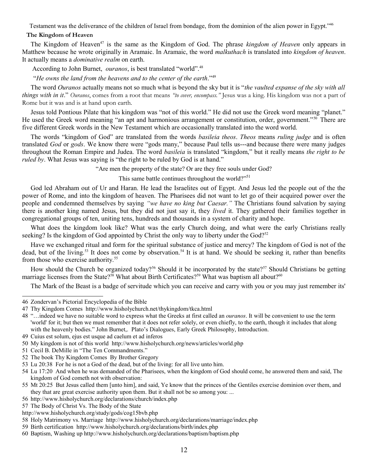Testament was the deliverance of the children of Israel from bondage, from the dominion of the alien power in Egypt."[46](#page-13-0)

### **The Kingdom of Heaven**

The Kingdom of Heaven<sup>[47](#page-13-1)</sup> is the same as the Kingdom of God. The phrase *kingdom of Heaven* only appears in Matthew because he wrote originally in Aramaic. In Aramaic, the word *malkuthach* is translated into *kingdom of heaven*. It actually means a *dominative realm* on earth.

According to John Burnet, *ouranos*, is best translated "world".<sup>[48](#page-13-2)</sup>

"*He owns the land from the heavens and to the center of the earth*."[49](#page-13-3)

The word *Ouranos* actually means not so much what is beyond the sky but it is "*the vaulted expanse of the sky with all things with in it*." *Ouranos*, comes from a root that means *"to cover, encompass."* Jesus was a king. His kingdom was not a part of Rome but it was and is at hand upon earth.

Jesus told Pontious Pilate that his kingdom was "not of this world." He did not use the Greek word meaning "planet." He used the Greek word meaning "an apt and harmonious arrangement or constitution, order, government."<sup>50</sup> There are five different Greek words in the New Testament which are occasionally translated into the word world.

The words "kingdom of God" are translated from the words *basileia theos*. *Theos* means *ruling judge* and is often translated *God* or *gods*. We know there were "gods many," because Paul tells us---and because there were many judges throughout the Roman Empire and Judea. The word *basileia* is translated "kingdom," but it really means *the right to be ruled by*. What Jesus was saying is "the right to be ruled by God is at hand."

"Are men the property of the state? Or are they free souls under God?

This same battle continues throughout the world?"<sup>[51](#page-13-5)</sup>

God led Abraham out of Ur and Haran. He lead the Israelites out of Egypt. And Jesus led the people out of the the power of Rome, and into the kingdom of heaven. The Pharisees did not want to let go of their acquired power over the people and condemned themselves by saying *"we have no king but Caesar."* The Christians found salvation by saying there is another king named Jesus, but they did not just say it, they *lived* it. They gathered their families together in congregational groups of ten, uniting tens, hundreds and thousands in a system of charity and hope.

What does the kingdom look like? What was the early Church doing, and what were the early Christians really seeking? Is the kingdom of God appointed by Christ the only way to liberty under the God? $52$ 

Have we exchanged ritual and form for the spiritual substance of justice and mercy? The kingdom of God is not of the dead, but of the living.<sup>[53](#page-13-7)</sup> It does not come by observation.<sup>[54](#page-13-8)</sup> It is at hand. We should be seeking it, rather than benefits from those who exercise authority.<sup>[55](#page-13-9)</sup>

How should the Church be organized today?<sup>[56](#page-13-10)</sup> Should it be incorporated by the state?<sup>[57](#page-13-11)</sup> Should Christians be getting marriage licenses from the State?<sup>[58](#page-13-12)</sup> What about Birth Certificates?<sup>[59](#page-13-13)</sup> What was baptism all about?<sup>[60](#page-13-14)</sup>

The Mark of the Beast is a badge of servitude which you can receive and carry with you or you may just remember its'

<span id="page-13-0"></span><sup>46</sup> Zondervan's Pictorial Encyclopedia of the Bible

<span id="page-13-1"></span><sup>47</sup> Thy Kingdom Comes http://www.hisholychurch.net/thykingdom/tkca.html

<span id="page-13-2"></span><sup>48</sup> "…indeed we have no suitable word to express what the Greeks at first called an *ouranos*. It will be convenient to use the term 'world' for it; but then we must remember that it does not refer solely, or even chiefly, to the earth, though it includes that along with the heavenly bodies." John Burnet, Plato's Dialogues, Early Greek Philosophy, Introduction.

<span id="page-13-3"></span><sup>49</sup> Cuius est solum, ejus est usque ad caelum et ad inferos

<span id="page-13-4"></span><sup>50</sup> My kingdom is not of this world http://www.hisholychurch.org/news/articles/world.php

<span id="page-13-5"></span><sup>51</sup> Cecil B. DeMille in "The Ten Commandments."

<span id="page-13-6"></span><sup>52</sup> The book Thy Kingdom Comes By Brother Gregory

<span id="page-13-7"></span><sup>53</sup> Lu 20:38 For he is not a God of the dead, but of the living: for all live unto him.

<span id="page-13-8"></span><sup>54</sup> Lu 17:20 And when he was demanded of the Pharisees, when the kingdom of God should come, he answered them and said, The kingdom of God cometh not with observation:

<span id="page-13-9"></span><sup>55</sup> Mt 20:25 But Jesus called them [unto him], and said, Ye know that the princes of the Gentiles exercise dominion over them, and they that are great exercise authority upon them. But it shall not be so among you: ...

<span id="page-13-10"></span><sup>56</sup> http://www.hisholychurch.org/declarations/church/index.php

<span id="page-13-11"></span><sup>57</sup> The Body of Christ Vs. The Body of the State

http://www.hisholychurch.org/study/gods/cog15bvb.php

<span id="page-13-12"></span><sup>58</sup> Holy Matrimony vs. Marriage http://www.hisholychurch.org/declarations/marriage/index.php

<span id="page-13-13"></span><sup>59</sup> Birth certification http://www.hisholychurch.org/declarations/birth/index.php

<span id="page-13-14"></span><sup>60</sup> Baptism, Washing up http://www.hisholychurch.org/declarations/baptism/baptism.php